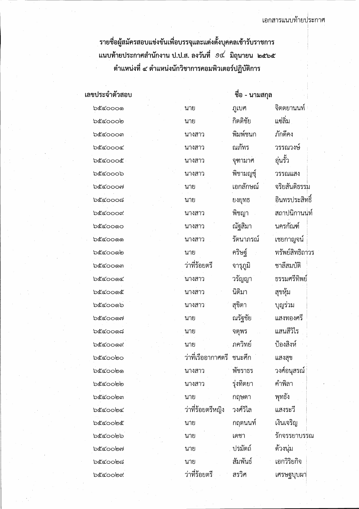I

 $\frac{1}{2}$ \* 10 ขอผู้กลม รถอบชิ้นงินธรพอบ ริ้ง ซุ้ยกระหมาย บุ้มมาคุณ 13 บิริ 1 บิน 1 ริ แนบท้ายประกาศสำนักงาน ป.ป.ส. ลงวันที่ ១๔ มิถุนายน ๒๕๖๕ ตำแหน่งที่ ๔ ตำแหน่งนักวิชาการคอมพิวเตอร์ปฏิบัติการ

| เลขประจำตัวสอบ     |                           | ์ชื่อ - นามสกุล |                 |
|--------------------|---------------------------|-----------------|-----------------|
| <b>b</b> &රෙර ග    | นาย                       | ภูเบศ           | จิตตยานนท์      |
| <b>'</b> ಂಂಂ       | นาย                       | กิตติชัย        | แซ่ลิ่ม         |
| bccoom             | นางสาว                    | พิมพ์ชนก        | ภักดีคง         |
| <b>b</b> ecoooc    | นางสาว                    | ณภัทร           | วรรณวงษ์        |
| becoooe            | นางสาว                    | จุฑามาศ         | อุ่นรั้ว        |
| <b>b</b> ecoob     | นางสาว                    | พิชามญช์        | วรรณแสง         |
| <b>b</b> ๕๔๐๐๐๗    | นาย                       | เอกลักษณ์       | จริยสันติธรรม   |
| ರಿ೬ೆತಂಂಂಡ          | นาย                       | ยงยุทธ          | อินทรประสิทธิ์  |
| <b>b</b> &රෙරය     | นางสาว                    | พิชญา           | สถาปนิกานนท์    |
| bccoooo            | นางสาว                    | ณัฐสิมา         | นครกัณฑ์        |
| <b>ර්</b> රෙර ගෙ   | นางสาว                    | รัตนาภรณ์       | เชยกาญจน์       |
| <b>'</b> ಂಂತಿ      | นาย                       | คริษฐ์          | ทรัพย์สิทธิถาวร |
| b๕๔๐๐๑๓            | ว่าที่ร้อยตรี             | จารุภูมิ        | ชาลีสมบัติ      |
| <b>៦</b> ๕๔೦೦๑๔    | ็นางสาว                   | วรัญญา          | ธรรมศรีทิพย์    |
| <b>b</b> ecoo@     | นางสาว                    | นิติมา          | สุขหุ้ม         |
| <b>bccooob</b>     | นางสาว                    | สุขิตา          | บุญร่วม         |
| <b>b</b> ecoon     | นาย                       | ณรัฐชัย         | แสงทองศรี       |
| <b>'ಾ</b> ರ್ಯಂ     | นาย                       | จตุพร           | แสนสีวิไร       |
| <b>bccooox</b>     | นาย                       | ภควิทย์         | ป้องสิงห์       |
| <u> ಏ೬ೆ ೯೦೦</u> ೦೦ | ว่าที่เรืออากาศตรี        | ชนะศึก          | แสงสุข          |
| <b>b</b> ecoobo    | นางสาว                    | พัชราธร         | วงศ์อนุสรณ์     |
| <b>bccoooo</b>     | นางสาว                    | รุ่งทิตยา       | คำพิลา          |
| <b>bccooom</b>     | นาย                       | กฤษดา           | พุทธัง          |
| <b>b</b> &coobc    | ว่าที่ร้อยตรีหญิง         | วงศ์วิไล        | แสงระวี         |
| <b>b</b> &රෙටම්    | นาย                       | กฤตนนท์         | เงินเจริญ       |
| <b>b</b> &coobb    | นาย                       | เดชา            | รักจรรยาบรรณ    |
| <b>bccoob</b> ol   | นาย                       | ปรมัตถ์         | ด้วงนุ่ม        |
| <b>'ಾ</b> ರ್ಯಂತ    | นาย                       | สัมพันธ์        | เอกวิริยกิจ     |
| <b>b</b> ecoobd    | วาที่ร้อยตรี <sup>:</sup> | สรวิศ           | เศรษฐบุบผา      |